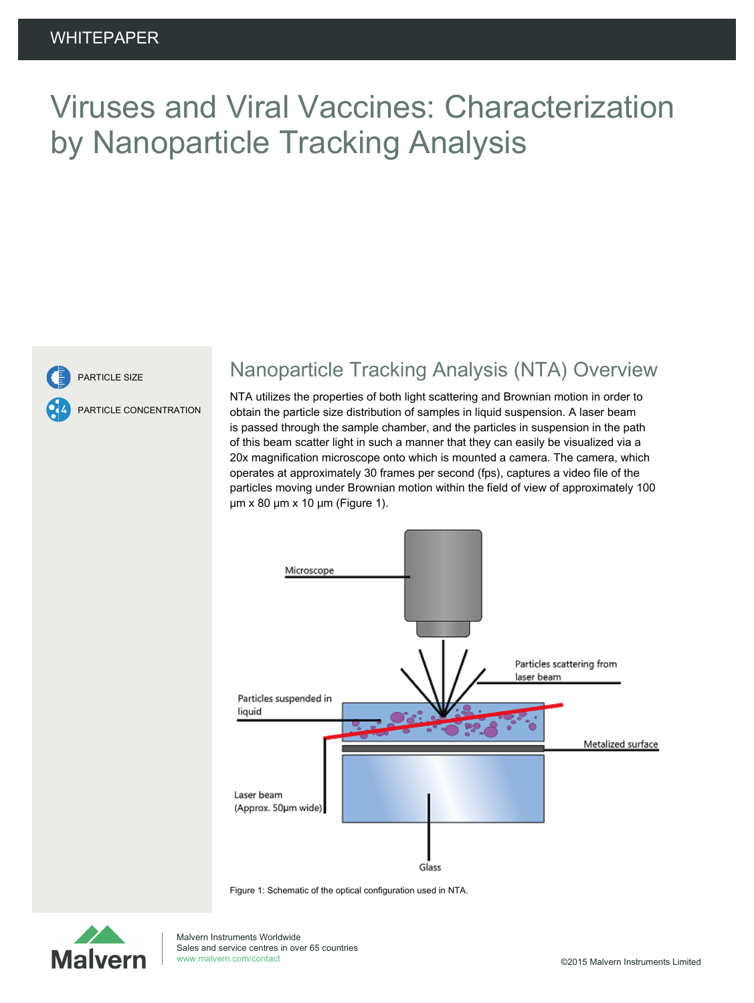# Viruses and Viral Vaccines: Characterization by Nanoparticle Tracking Analysis



PARTICLE SIZE

PARTICLE CONCENTRATION

## Nanoparticle Tracking Analysis (NTA) Overview

NTA utilizes the properties of both light scattering and Brownian motion in order to obtain the particle size distribution of samples in liquid suspension. A laser beam is passed through the sample chamber, and the particles in suspension in the path of this beam scatter light in such a manner that they can easily be visualized via a 20x magnification microscope onto which is mounted a camera. The camera, which operates at approximately 30 frames per second (fps), captures a video file of the particles moving under Brownian motion within the field of view of approximately 100 μm x 80 μm x 10 μm (Figure 1).



Figure 1: Schematic of the optical configuration used in NTA.

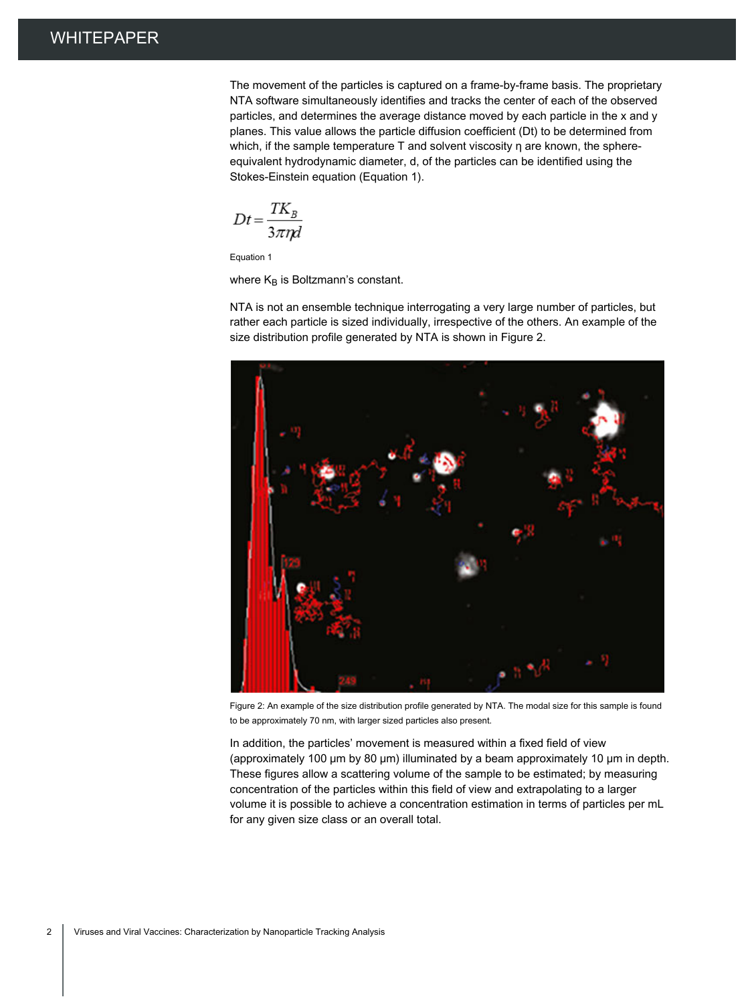The movement of the particles is captured on a frame-by-frame basis. The proprietary NTA software simultaneously identifies and tracks the center of each of the observed particles, and determines the average distance moved by each particle in the x and y planes. This value allows the particle diffusion coefficient (Dt) to be determined from which, if the sample temperature T and solvent viscosity η are known, the sphereequivalent hydrodynamic diameter, d, of the particles can be identified using the Stokes-Einstein equation (Equation 1).

$$
Dt = \frac{TK_B}{3\pi\eta d}
$$

Equation 1

where  $K_B$  is Boltzmann's constant.

NTA is not an ensemble technique interrogating a very large number of particles, but rather each particle is sized individually, irrespective of the others. An example of the size distribution profile generated by NTA is shown in Figure 2.



Figure 2: An example of the size distribution profile generated by NTA. The modal size for this sample is found to be approximately 70 nm, with larger sized particles also present.

In addition, the particles' movement is measured within a fixed field of view (approximately 100 μm by 80 μm) illuminated by a beam approximately 10 μm in depth. These figures allow a scattering volume of the sample to be estimated; by measuring concentration of the particles within this field of view and extrapolating to a larger volume it is possible to achieve a concentration estimation in terms of particles per mL for any given size class or an overall total.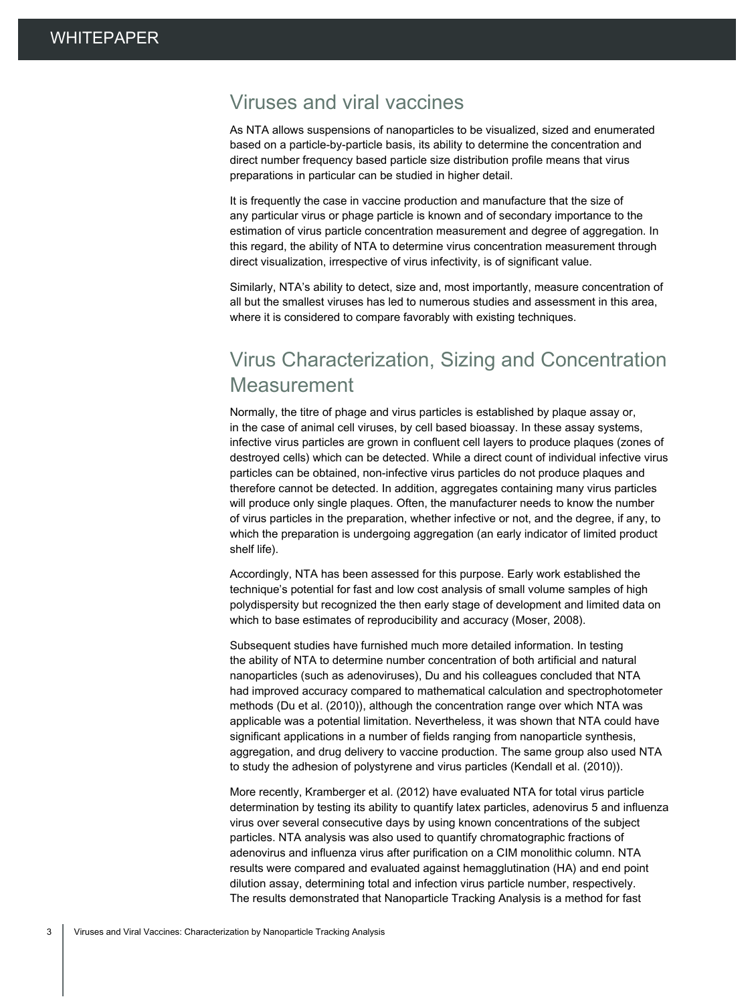#### Viruses and viral vaccines

As NTA allows suspensions of nanoparticles to be visualized, sized and enumerated based on a particle-by-particle basis, its ability to determine the concentration and direct number frequency based particle size distribution profile means that virus preparations in particular can be studied in higher detail.

It is frequently the case in vaccine production and manufacture that the size of any particular virus or phage particle is known and of secondary importance to the estimation of virus particle concentration measurement and degree of aggregation. In this regard, the ability of NTA to determine virus concentration measurement through direct visualization, irrespective of virus infectivity, is of significant value.

Similarly, NTA's ability to detect, size and, most importantly, measure concentration of all but the smallest viruses has led to numerous studies and assessment in this area, where it is considered to compare favorably with existing techniques.

### Virus Characterization, Sizing and Concentration **Measurement**

Normally, the titre of phage and virus particles is established by plaque assay or, in the case of animal cell viruses, by cell based bioassay. In these assay systems, infective virus particles are grown in confluent cell layers to produce plaques (zones of destroyed cells) which can be detected. While a direct count of individual infective virus particles can be obtained, non-infective virus particles do not produce plaques and therefore cannot be detected. In addition, aggregates containing many virus particles will produce only single plaques. Often, the manufacturer needs to know the number of virus particles in the preparation, whether infective or not, and the degree, if any, to which the preparation is undergoing aggregation (an early indicator of limited product shelf life).

Accordingly, NTA has been assessed for this purpose. Early work established the technique's potential for fast and low cost analysis of small volume samples of high polydispersity but recognized the then early stage of development and limited data on which to base estimates of reproducibility and accuracy (Moser, 2008).

Subsequent studies have furnished much more detailed information. In testing the ability of NTA to determine number concentration of both artificial and natural nanoparticles (such as adenoviruses), Du and his colleagues concluded that NTA had improved accuracy compared to mathematical calculation and spectrophotometer methods (Du et al. (2010)), although the concentration range over which NTA was applicable was a potential limitation. Nevertheless, it was shown that NTA could have significant applications in a number of fields ranging from nanoparticle synthesis, aggregation, and drug delivery to vaccine production. The same group also used NTA to study the adhesion of polystyrene and virus particles (Kendall et al. (2010)).

More recently, Kramberger et al. (2012) have evaluated NTA for total virus particle determination by testing its ability to quantify latex particles, adenovirus 5 and influenza virus over several consecutive days by using known concentrations of the subject particles. NTA analysis was also used to quantify chromatographic fractions of adenovirus and influenza virus after purification on a CIM monolithic column. NTA results were compared and evaluated against hemagglutination (HA) and end point dilution assay, determining total and infection virus particle number, respectively. The results demonstrated that Nanoparticle Tracking Analysis is a method for fast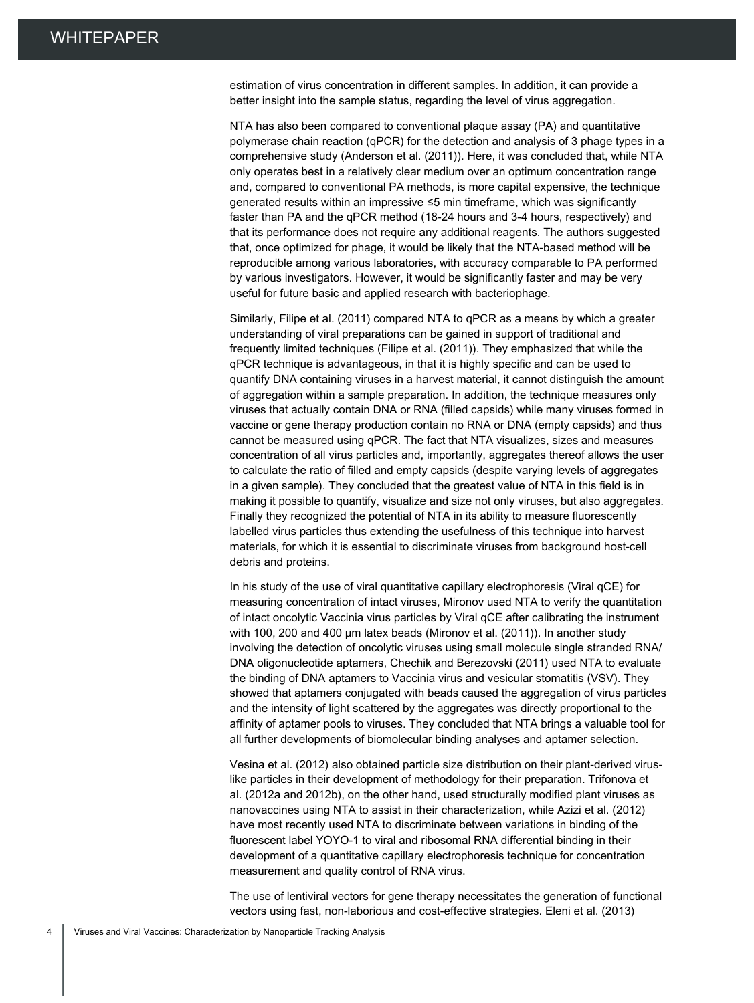estimation of virus concentration in different samples. In addition, it can provide a better insight into the sample status, regarding the level of virus aggregation.

NTA has also been compared to conventional plaque assay (PA) and quantitative polymerase chain reaction (qPCR) for the detection and analysis of 3 phage types in a comprehensive study (Anderson et al. (2011)). Here, it was concluded that, while NTA only operates best in a relatively clear medium over an optimum concentration range and, compared to conventional PA methods, is more capital expensive, the technique generated results within an impressive ≤5 min timeframe, which was significantly faster than PA and the qPCR method (18-24 hours and 3-4 hours, respectively) and that its performance does not require any additional reagents. The authors suggested that, once optimized for phage, it would be likely that the NTA-based method will be reproducible among various laboratories, with accuracy comparable to PA performed by various investigators. However, it would be significantly faster and may be very useful for future basic and applied research with bacteriophage.

Similarly, Filipe et al. (2011) compared NTA to qPCR as a means by which a greater understanding of viral preparations can be gained in support of traditional and frequently limited techniques (Filipe et al. (2011)). They emphasized that while the qPCR technique is advantageous, in that it is highly specific and can be used to quantify DNA containing viruses in a harvest material, it cannot distinguish the amount of aggregation within a sample preparation. In addition, the technique measures only viruses that actually contain DNA or RNA (filled capsids) while many viruses formed in vaccine or gene therapy production contain no RNA or DNA (empty capsids) and thus cannot be measured using qPCR. The fact that NTA visualizes, sizes and measures concentration of all virus particles and, importantly, aggregates thereof allows the user to calculate the ratio of filled and empty capsids (despite varying levels of aggregates in a given sample). They concluded that the greatest value of NTA in this field is in making it possible to quantify, visualize and size not only viruses, but also aggregates. Finally they recognized the potential of NTA in its ability to measure fluorescently labelled virus particles thus extending the usefulness of this technique into harvest materials, for which it is essential to discriminate viruses from background host-cell debris and proteins.

In his study of the use of viral quantitative capillary electrophoresis (Viral qCE) for measuring concentration of intact viruses, Mironov used NTA to verify the quantitation of intact oncolytic Vaccinia virus particles by Viral qCE after calibrating the instrument with 100, 200 and 400 µm latex beads (Mironov et al. (2011)). In another study involving the detection of oncolytic viruses using small molecule single stranded RNA/ DNA oligonucleotide aptamers, Chechik and Berezovski (2011) used NTA to evaluate the binding of DNA aptamers to Vaccinia virus and vesicular stomatitis (VSV). They showed that aptamers conjugated with beads caused the aggregation of virus particles and the intensity of light scattered by the aggregates was directly proportional to the affinity of aptamer pools to viruses. They concluded that NTA brings a valuable tool for all further developments of biomolecular binding analyses and aptamer selection.

Vesina et al. (2012) also obtained particle size distribution on their plant-derived viruslike particles in their development of methodology for their preparation. Trifonova et al. (2012a and 2012b), on the other hand, used structurally modified plant viruses as nanovaccines using NTA to assist in their characterization, while Azizi et al. (2012) have most recently used NTA to discriminate between variations in binding of the fluorescent label YOYO-1 to viral and ribosomal RNA differential binding in their development of a quantitative capillary electrophoresis technique for concentration measurement and quality control of RNA virus.

The use of lentiviral vectors for gene therapy necessitates the generation of functional vectors using fast, non-laborious and cost-effective strategies. Eleni et al. (2013)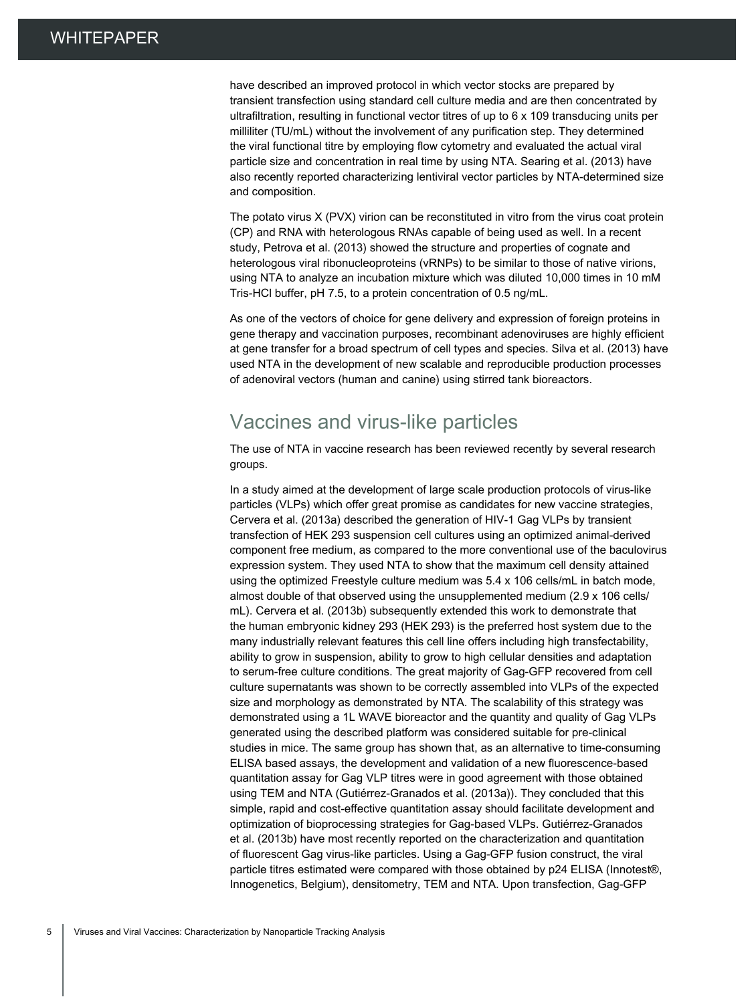have described an improved protocol in which vector stocks are prepared by transient transfection using standard cell culture media and are then concentrated by ultrafiltration, resulting in functional vector titres of up to 6 x 109 transducing units per milliliter (TU/mL) without the involvement of any purification step. They determined the viral functional titre by employing flow cytometry and evaluated the actual viral particle size and concentration in real time by using NTA. Searing et al. (2013) have also recently reported characterizing lentiviral vector particles by NTA-determined size and composition.

The potato virus X (PVX) virion can be reconstituted in vitro from the virus coat protein (CP) and RNA with heterologous RNAs capable of being used as well. In a recent study, Petrova et al. (2013) showed the structure and properties of cognate and heterologous viral ribonucleoproteins (vRNPs) to be similar to those of native virions, using NTA to analyze an incubation mixture which was diluted 10,000 times in 10 mM Tris-HCl buffer, pH 7.5, to a protein concentration of 0.5 ng/mL.

As one of the vectors of choice for gene delivery and expression of foreign proteins in gene therapy and vaccination purposes, recombinant adenoviruses are highly efficient at gene transfer for a broad spectrum of cell types and species. Silva et al. (2013) have used NTA in the development of new scalable and reproducible production processes of adenoviral vectors (human and canine) using stirred tank bioreactors.

#### Vaccines and virus-like particles

The use of NTA in vaccine research has been reviewed recently by several research groups.

In a study aimed at the development of large scale production protocols of virus-like particles (VLPs) which offer great promise as candidates for new vaccine strategies, Cervera et al. (2013a) described the generation of HIV-1 Gag VLPs by transient transfection of HEK 293 suspension cell cultures using an optimized animal-derived component free medium, as compared to the more conventional use of the baculovirus expression system. They used NTA to show that the maximum cell density attained using the optimized Freestyle culture medium was 5.4 x 106 cells/mL in batch mode, almost double of that observed using the unsupplemented medium (2.9 x 106 cells/ mL). Cervera et al. (2013b) subsequently extended this work to demonstrate that the human embryonic kidney 293 (HEK 293) is the preferred host system due to the many industrially relevant features this cell line offers including high transfectability, ability to grow in suspension, ability to grow to high cellular densities and adaptation to serum-free culture conditions. The great majority of Gag-GFP recovered from cell culture supernatants was shown to be correctly assembled into VLPs of the expected size and morphology as demonstrated by NTA. The scalability of this strategy was demonstrated using a 1L WAVE bioreactor and the quantity and quality of Gag VLPs generated using the described platform was considered suitable for pre-clinical studies in mice. The same group has shown that, as an alternative to time-consuming ELISA based assays, the development and validation of a new fluorescence-based quantitation assay for Gag VLP titres were in good agreement with those obtained using TEM and NTA (Gutiérrez-Granados et al. (2013a)). They concluded that this simple, rapid and cost-effective quantitation assay should facilitate development and optimization of bioprocessing strategies for Gag-based VLPs. Gutiérrez-Granados et al. (2013b) have most recently reported on the characterization and quantitation of fluorescent Gag virus-like particles. Using a Gag-GFP fusion construct, the viral particle titres estimated were compared with those obtained by p24 ELISA (Innotest®, Innogenetics, Belgium), densitometry, TEM and NTA. Upon transfection, Gag-GFP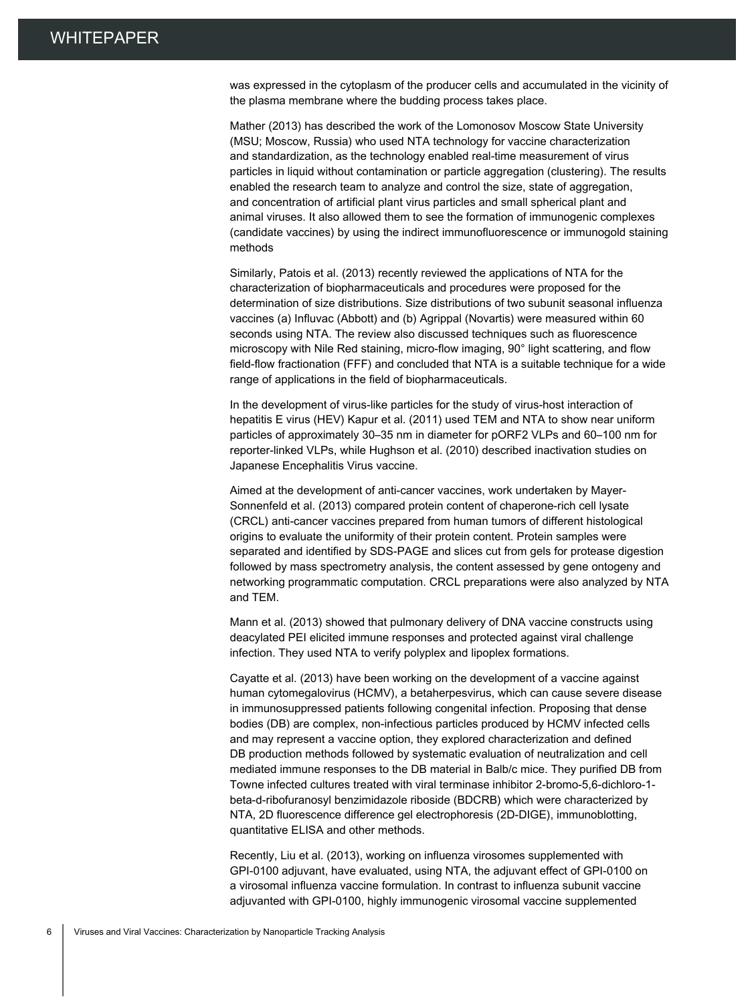was expressed in the cytoplasm of the producer cells and accumulated in the vicinity of the plasma membrane where the budding process takes place.

Mather (2013) has described the work of the Lomonosov Moscow State University (MSU; Moscow, Russia) who used NTA technology for vaccine characterization and standardization, as the technology enabled real-time measurement of virus particles in liquid without contamination or particle aggregation (clustering). The results enabled the research team to analyze and control the size, state of aggregation, and concentration of artificial plant virus particles and small spherical plant and animal viruses. It also allowed them to see the formation of immunogenic complexes (candidate vaccines) by using the indirect immunofluorescence or immunogold staining methods

Similarly, Patois et al. (2013) recently reviewed the applications of NTA for the characterization of biopharmaceuticals and procedures were proposed for the determination of size distributions. Size distributions of two subunit seasonal influenza vaccines (a) Influvac (Abbott) and (b) Agrippal (Novartis) were measured within 60 seconds using NTA. The review also discussed techniques such as fluorescence microscopy with Nile Red staining, micro-flow imaging, 90° light scattering, and flow field-flow fractionation (FFF) and concluded that NTA is a suitable technique for a wide range of applications in the field of biopharmaceuticals.

In the development of virus-like particles for the study of virus-host interaction of hepatitis E virus (HEV) Kapur et al. (2011) used TEM and NTA to show near uniform particles of approximately 30–35 nm in diameter for pORF2 VLPs and 60–100 nm for reporter-linked VLPs, while Hughson et al. (2010) described inactivation studies on Japanese Encephalitis Virus vaccine.

Aimed at the development of anti-cancer vaccines, work undertaken by Mayer-Sonnenfeld et al. (2013) compared protein content of chaperone-rich cell lysate (CRCL) anti-cancer vaccines prepared from human tumors of different histological origins to evaluate the uniformity of their protein content. Protein samples were separated and identified by SDS-PAGE and slices cut from gels for protease digestion followed by mass spectrometry analysis, the content assessed by gene ontogeny and networking programmatic computation. CRCL preparations were also analyzed by NTA and TEM.

Mann et al. (2013) showed that pulmonary delivery of DNA vaccine constructs using deacylated PEI elicited immune responses and protected against viral challenge infection. They used NTA to verify polyplex and lipoplex formations.

Cayatte et al. (2013) have been working on the development of a vaccine against human cytomegalovirus (HCMV), a betaherpesvirus, which can cause severe disease in immunosuppressed patients following congenital infection. Proposing that dense bodies (DB) are complex, non-infectious particles produced by HCMV infected cells and may represent a vaccine option, they explored characterization and defined DB production methods followed by systematic evaluation of neutralization and cell mediated immune responses to the DB material in Balb/c mice. They purified DB from Towne infected cultures treated with viral terminase inhibitor 2-bromo-5,6-dichloro-1 beta-d-ribofuranosyl benzimidazole riboside (BDCRB) which were characterized by NTA, 2D fluorescence difference gel electrophoresis (2D-DIGE), immunoblotting, quantitative ELISA and other methods.

Recently, Liu et al. (2013), working on influenza virosomes supplemented with GPI-0100 adjuvant, have evaluated, using NTA, the adjuvant effect of GPI-0100 on a virosomal influenza vaccine formulation. In contrast to influenza subunit vaccine adjuvanted with GPI-0100, highly immunogenic virosomal vaccine supplemented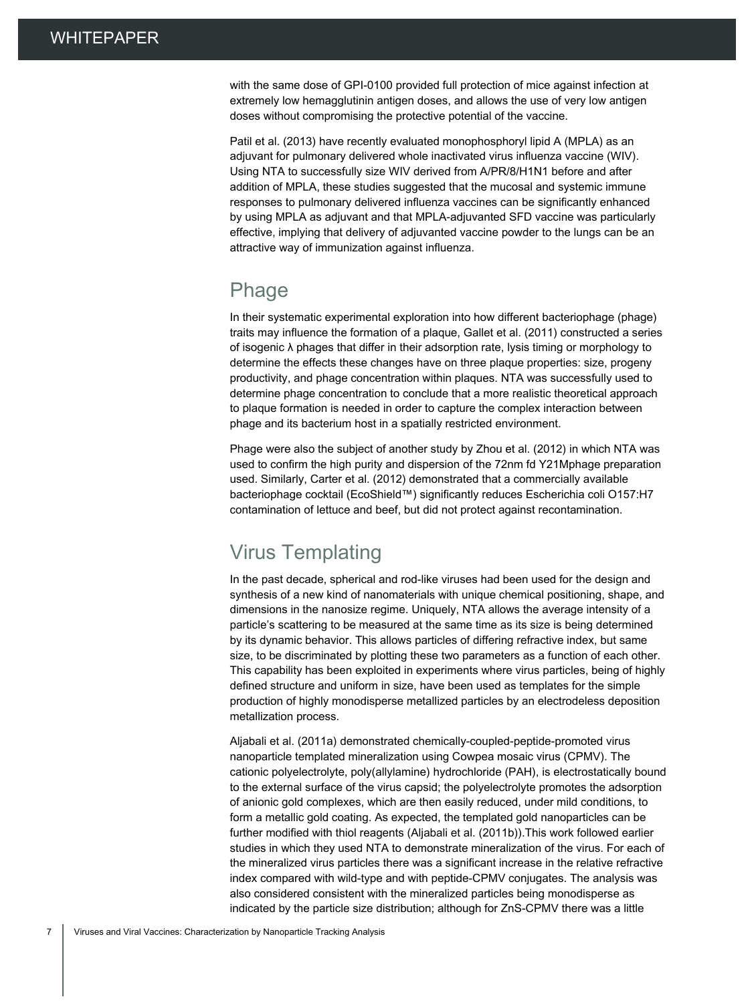with the same dose of GPI-0100 provided full protection of mice against infection at extremely low hemagglutinin antigen doses, and allows the use of very low antigen doses without compromising the protective potential of the vaccine.

Patil et al. (2013) have recently evaluated monophosphoryl lipid A (MPLA) as an adjuvant for pulmonary delivered whole inactivated virus influenza vaccine (WIV). Using NTA to successfully size WIV derived from A/PR/8/H1N1 before and after addition of MPLA, these studies suggested that the mucosal and systemic immune responses to pulmonary delivered influenza vaccines can be significantly enhanced by using MPLA as adjuvant and that MPLA-adjuvanted SFD vaccine was particularly effective, implying that delivery of adjuvanted vaccine powder to the lungs can be an attractive way of immunization against influenza.

#### Phage

In their systematic experimental exploration into how different bacteriophage (phage) traits may influence the formation of a plaque, Gallet et al. (2011) constructed a series of isogenic λ phages that differ in their adsorption rate, lysis timing or morphology to determine the effects these changes have on three plaque properties: size, progeny productivity, and phage concentration within plaques. NTA was successfully used to determine phage concentration to conclude that a more realistic theoretical approach to plaque formation is needed in order to capture the complex interaction between phage and its bacterium host in a spatially restricted environment.

Phage were also the subject of another study by Zhou et al. (2012) in which NTA was used to confirm the high purity and dispersion of the 72nm fd Y21Mphage preparation used. Similarly, Carter et al. (2012) demonstrated that a commercially available bacteriophage cocktail (EcoShield™) significantly reduces Escherichia coli O157:H7 contamination of lettuce and beef, but did not protect against recontamination.

#### Virus Templating

In the past decade, spherical and rod-like viruses had been used for the design and synthesis of a new kind of nanomaterials with unique chemical positioning, shape, and dimensions in the nanosize regime. Uniquely, NTA allows the average intensity of a particle's scattering to be measured at the same time as its size is being determined by its dynamic behavior. This allows particles of differing refractive index, but same size, to be discriminated by plotting these two parameters as a function of each other. This capability has been exploited in experiments where virus particles, being of highly defined structure and uniform in size, have been used as templates for the simple production of highly monodisperse metallized particles by an electrodeless deposition metallization process.

Aljabali et al. (2011a) demonstrated chemically-coupled-peptide-promoted virus nanoparticle templated mineralization using Cowpea mosaic virus (CPMV). The cationic polyelectrolyte, poly(allylamine) hydrochloride (PAH), is electrostatically bound to the external surface of the virus capsid; the polyelectrolyte promotes the adsorption of anionic gold complexes, which are then easily reduced, under mild conditions, to form a metallic gold coating. As expected, the templated gold nanoparticles can be further modified with thiol reagents (Aljabali et al. (2011b)).This work followed earlier studies in which they used NTA to demonstrate mineralization of the virus. For each of the mineralized virus particles there was a significant increase in the relative refractive index compared with wild-type and with peptide-CPMV conjugates. The analysis was also considered consistent with the mineralized particles being monodisperse as indicated by the particle size distribution; although for ZnS-CPMV there was a little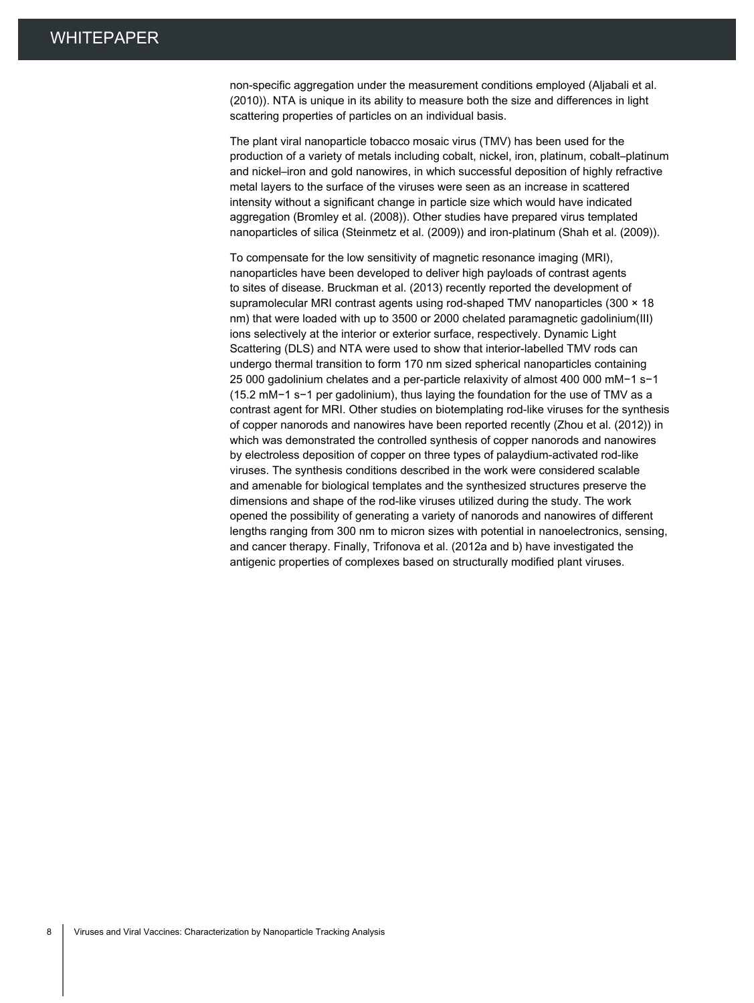non-specific aggregation under the measurement conditions employed (Aljabali et al. (2010)). NTA is unique in its ability to measure both the size and differences in light scattering properties of particles on an individual basis.

The plant viral nanoparticle tobacco mosaic virus (TMV) has been used for the production of a variety of metals including cobalt, nickel, iron, platinum, cobalt–platinum and nickel–iron and gold nanowires, in which successful deposition of highly refractive metal layers to the surface of the viruses were seen as an increase in scattered intensity without a significant change in particle size which would have indicated aggregation (Bromley et al. (2008)). Other studies have prepared virus templated nanoparticles of silica (Steinmetz et al. (2009)) and iron-platinum (Shah et al. (2009)).

To compensate for the low sensitivity of magnetic resonance imaging (MRI), nanoparticles have been developed to deliver high payloads of contrast agents to sites of disease. Bruckman et al. (2013) recently reported the development of supramolecular MRI contrast agents using rod-shaped TMV nanoparticles (300 × 18 nm) that were loaded with up to 3500 or 2000 chelated paramagnetic gadolinium(III) ions selectively at the interior or exterior surface, respectively. Dynamic Light Scattering (DLS) and NTA were used to show that interior-labelled TMV rods can undergo thermal transition to form 170 nm sized spherical nanoparticles containing 25 000 gadolinium chelates and a per-particle relaxivity of almost 400 000 mM−1 s−1 (15.2 mM−1 s−1 per gadolinium), thus laying the foundation for the use of TMV as a contrast agent for MRI. Other studies on biotemplating rod-like viruses for the synthesis of copper nanorods and nanowires have been reported recently (Zhou et al. (2012)) in which was demonstrated the controlled synthesis of copper nanorods and nanowires by electroless deposition of copper on three types of palaydium-activated rod-like viruses. The synthesis conditions described in the work were considered scalable and amenable for biological templates and the synthesized structures preserve the dimensions and shape of the rod-like viruses utilized during the study. The work opened the possibility of generating a variety of nanorods and nanowires of different lengths ranging from 300 nm to micron sizes with potential in nanoelectronics, sensing, and cancer therapy. Finally, Trifonova et al. (2012a and b) have investigated the antigenic properties of complexes based on structurally modified plant viruses.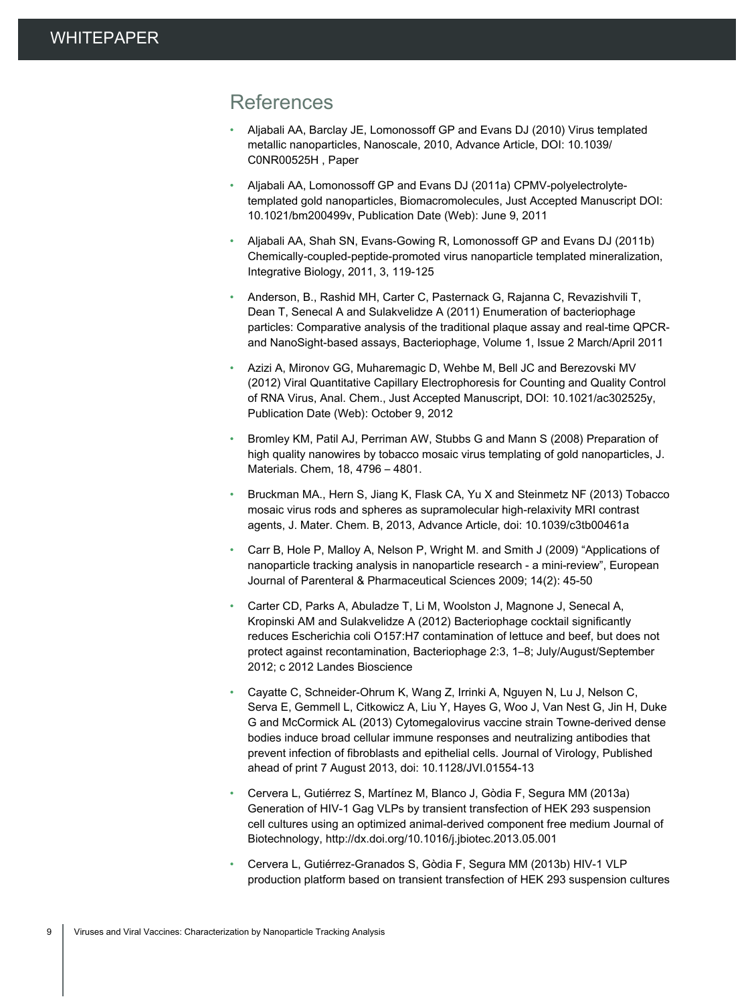#### **References**

- Aljabali AA, Barclay JE, Lomonossoff GP and Evans DJ (2010) Virus templated metallic nanoparticles, Nanoscale, 2010, Advance Article, DOI: 10.1039/ C0NR00525H , Paper
- Aljabali AA, Lomonossoff GP and Evans DJ (2011a) CPMV-polyelectrolytetemplated gold nanoparticles, Biomacromolecules, Just Accepted Manuscript DOI: 10.1021/bm200499v, Publication Date (Web): June 9, 2011
- Aljabali AA, Shah SN, Evans-Gowing R, Lomonossoff GP and Evans DJ (2011b) Chemically-coupled-peptide-promoted virus nanoparticle templated mineralization, Integrative Biology, 2011, 3, 119-125
- Anderson, B., Rashid MH, Carter C, Pasternack G, Rajanna C, Revazishvili T, Dean T, Senecal A and Sulakvelidze A (2011) Enumeration of bacteriophage particles: Comparative analysis of the traditional plaque assay and real-time QPCRand NanoSight-based assays, Bacteriophage, Volume 1, Issue 2 March/April 2011
- Azizi A, Mironov GG, Muharemagic D, Wehbe M, Bell JC and Berezovski MV (2012) Viral Quantitative Capillary Electrophoresis for Counting and Quality Control of RNA Virus, Anal. Chem., Just Accepted Manuscript, DOI: 10.1021/ac302525y, Publication Date (Web): October 9, 2012
- Bromley KM, Patil AJ, Perriman AW, Stubbs G and Mann S (2008) Preparation of high quality nanowires by tobacco mosaic virus templating of gold nanoparticles, J. Materials. Chem, 18, 4796 – 4801.
- Bruckman MA., Hern S, Jiang K, Flask CA, Yu X and Steinmetz NF (2013) Tobacco mosaic virus rods and spheres as supramolecular high-relaxivity MRI contrast agents, J. Mater. Chem. B, 2013, Advance Article, doi: 10.1039/c3tb00461a
- Carr B, Hole P, Malloy A, Nelson P, Wright M. and Smith J (2009) "Applications of nanoparticle tracking analysis in nanoparticle research - a mini-review", European Journal of Parenteral & Pharmaceutical Sciences 2009; 14(2): 45-50
- Carter CD, Parks A, Abuladze T, Li M, Woolston J, Magnone J, Senecal A, Kropinski AM and Sulakvelidze A (2012) Bacteriophage cocktail significantly reduces Escherichia coli O157:H7 contamination of lettuce and beef, but does not protect against recontamination, Bacteriophage 2:3, 1–8; July/August/September 2012; c 2012 Landes Bioscience
- Cayatte C, Schneider-Ohrum K, Wang Z, Irrinki A, Nguyen N, Lu J, Nelson C, Serva E, Gemmell L, Citkowicz A, Liu Y, Hayes G, Woo J, Van Nest G, Jin H, Duke G and McCormick AL (2013) Cytomegalovirus vaccine strain Towne-derived dense bodies induce broad cellular immune responses and neutralizing antibodies that prevent infection of fibroblasts and epithelial cells. Journal of Virology, Published ahead of print 7 August 2013, doi: 10.1128/JVI.01554-13
- Cervera L, Gutiérrez S, Martínez M, Blanco J, Gòdia F, Segura MM (2013a) Generation of HIV-1 Gag VLPs by transient transfection of HEK 293 suspension cell cultures using an optimized animal-derived component free medium Journal of Biotechnology, http://dx.doi.org/10.1016/j.jbiotec.2013.05.001
- Cervera L, Gutiérrez-Granados S, Gòdia F, Segura MM (2013b) HIV-1 VLP production platform based on transient transfection of HEK 293 suspension cultures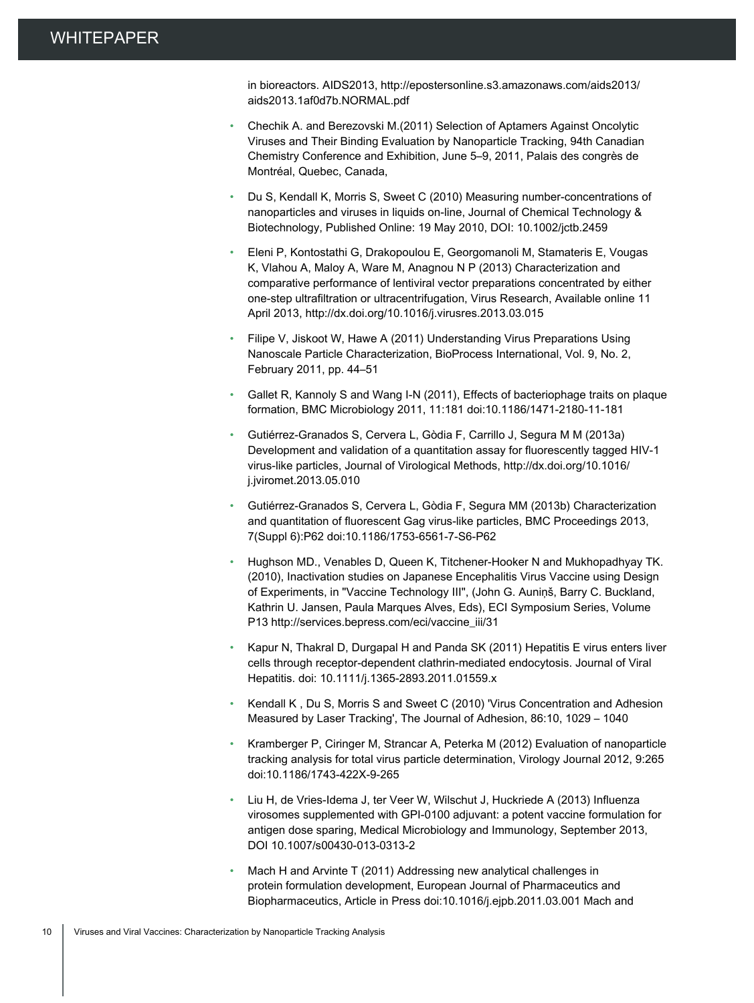in bioreactors. AIDS2013, http://epostersonline.s3.amazonaws.com/aids2013/ aids2013.1af0d7b.NORMAL.pdf

- Chechik A. and Berezovski M.(2011) Selection of Aptamers Against Oncolytic Viruses and Their Binding Evaluation by Nanoparticle Tracking, 94th Canadian Chemistry Conference and Exhibition, June 5–9, 2011, Palais des congrès de Montréal, Quebec, Canada,
- Du S, Kendall K, Morris S, Sweet C (2010) Measuring number-concentrations of nanoparticles and viruses in liquids on-line, Journal of Chemical Technology & Biotechnology, Published Online: 19 May 2010, DOI: 10.1002/jctb.2459
- Eleni P, Kontostathi G, Drakopoulou E, Georgomanoli M, Stamateris E, Vougas K, Vlahou A, Maloy A, Ware M, Anagnou N P (2013) Characterization and comparative performance of lentiviral vector preparations concentrated by either one-step ultrafiltration or ultracentrifugation, Virus Research, Available online 11 April 2013, http://dx.doi.org/10.1016/j.virusres.2013.03.015
- Filipe V, Jiskoot W, Hawe A (2011) Understanding Virus Preparations Using Nanoscale Particle Characterization, BioProcess International, Vol. 9, No. 2, February 2011, pp. 44–51
- Gallet R, Kannoly S and Wang I-N (2011), Effects of bacteriophage traits on plaque formation, BMC Microbiology 2011, 11:181 doi:10.1186/1471-2180-11-181
- Gutiérrez-Granados S, Cervera L, Gòdia F, Carrillo J, Segura M M (2013a) Development and validation of a quantitation assay for fluorescently tagged HIV-1 virus-like particles, Journal of Virological Methods, http://dx.doi.org/10.1016/ j.jviromet.2013.05.010
- Gutiérrez-Granados S, Cervera L, Gòdia F, Segura MM (2013b) Characterization and quantitation of fluorescent Gag virus-like particles, BMC Proceedings 2013, 7(Suppl 6):P62 doi:10.1186/1753-6561-7-S6-P62
- Hughson MD., Venables D, Queen K, Titchener-Hooker N and Mukhopadhyay TK. (2010), Inactivation studies on Japanese Encephalitis Virus Vaccine using Design of Experiments, in "Vaccine Technology III", (John G. Auniņš, Barry C. Buckland, Kathrin U. Jansen, Paula Marques Alves, Eds), ECI Symposium Series, Volume P13 http://services.bepress.com/eci/vaccine\_iii/31
- Kapur N, Thakral D, Durgapal H and Panda SK (2011) Hepatitis E virus enters liver cells through receptor-dependent clathrin-mediated endocytosis. Journal of Viral Hepatitis. doi: 10.1111/j.1365-2893.2011.01559.x
- Kendall K , Du S, Morris S and Sweet C (2010) 'Virus Concentration and Adhesion Measured by Laser Tracking', The Journal of Adhesion, 86:10, 1029 – 1040
- Kramberger P, Ciringer M, Strancar A, Peterka M (2012) Evaluation of nanoparticle tracking analysis for total virus particle determination, Virology Journal 2012, 9:265 doi:10.1186/1743-422X-9-265
- Liu H, de Vries-Idema J, ter Veer W, Wilschut J, Huckriede A (2013) Influenza virosomes supplemented with GPI-0100 adjuvant: a potent vaccine formulation for antigen dose sparing, Medical Microbiology and Immunology, September 2013, DOI 10.1007/s00430-013-0313-2
- Mach H and Arvinte T (2011) Addressing new analytical challenges in protein formulation development, European Journal of Pharmaceutics and Biopharmaceutics, Article in Press doi:10.1016/j.ejpb.2011.03.001 Mach and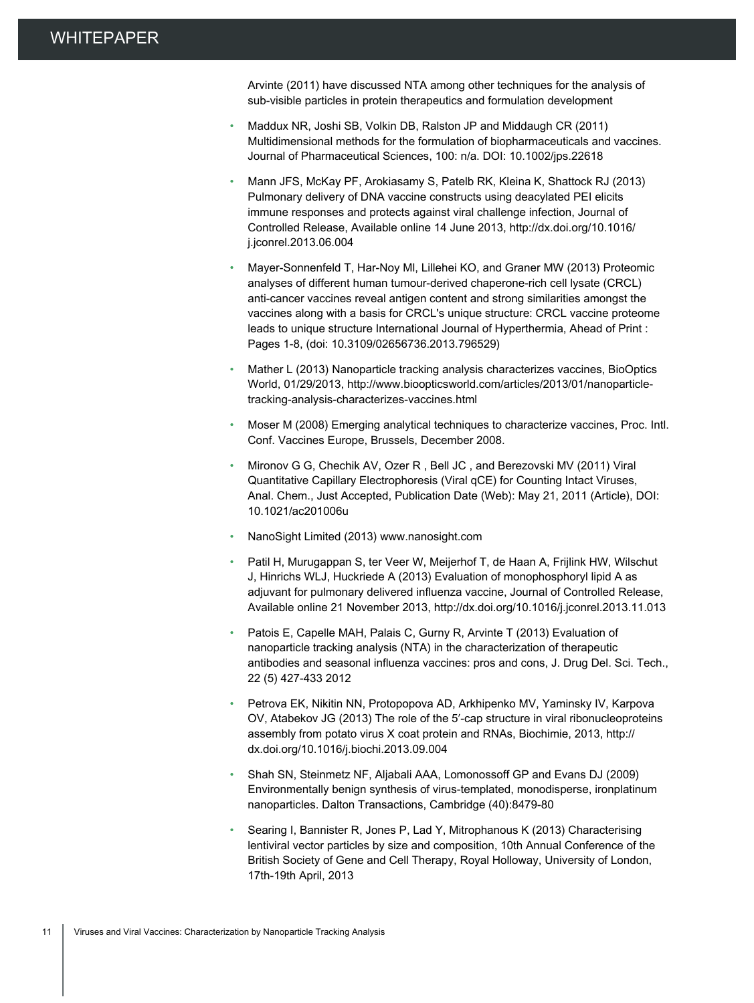Arvinte (2011) have discussed NTA among other techniques for the analysis of sub-visible particles in protein therapeutics and formulation development

- Maddux NR, Joshi SB, Volkin DB, Ralston JP and Middaugh CR (2011) Multidimensional methods for the formulation of biopharmaceuticals and vaccines. Journal of Pharmaceutical Sciences, 100: n/a. DOI: 10.1002/jps.22618
- Mann JFS, McKay PF, Arokiasamy S, Patelb RK, Kleina K, Shattock RJ (2013) Pulmonary delivery of DNA vaccine constructs using deacylated PEI elicits immune responses and protects against viral challenge infection, Journal of Controlled Release, Available online 14 June 2013, http://dx.doi.org/10.1016/ j.jconrel.2013.06.004
- Mayer-Sonnenfeld T, Har-Noy Ml, Lillehei KO, and Graner MW (2013) Proteomic analyses of different human tumour-derived chaperone-rich cell lysate (CRCL) anti-cancer vaccines reveal antigen content and strong similarities amongst the vaccines along with a basis for CRCL's unique structure: CRCL vaccine proteome leads to unique structure International Journal of Hyperthermia, Ahead of Print : Pages 1-8, (doi: 10.3109/02656736.2013.796529)
- Mather L (2013) Nanoparticle tracking analysis characterizes vaccines, BioOptics World, 01/29/2013, http://www.bioopticsworld.com/articles/2013/01/nanoparticletracking-analysis-characterizes-vaccines.html
- Moser M (2008) Emerging analytical techniques to characterize vaccines, Proc. Intl. Conf. Vaccines Europe, Brussels, December 2008.
- Mironov G G, Chechik AV, Ozer R , Bell JC , and Berezovski MV (2011) Viral Quantitative Capillary Electrophoresis (Viral qCE) for Counting Intact Viruses, Anal. Chem., Just Accepted, Publication Date (Web): May 21, 2011 (Article), DOI: 10.1021/ac201006u
- NanoSight Limited (2013) www.nanosight.com
- Patil H, Murugappan S, ter Veer W, Meijerhof T, de Haan A, Frijlink HW, Wilschut J, Hinrichs WLJ, Huckriede A (2013) Evaluation of monophosphoryl lipid A as adjuvant for pulmonary delivered influenza vaccine, Journal of Controlled Release, Available online 21 November 2013, http://dx.doi.org/10.1016/j.jconrel.2013.11.013
- Patois E, Capelle MAH, Palais C, Gurny R, Arvinte T (2013) Evaluation of nanoparticle tracking analysis (NTA) in the characterization of therapeutic antibodies and seasonal influenza vaccines: pros and cons, J. Drug Del. Sci. Tech., 22 (5) 427-433 2012
- Petrova EK, Nikitin NN, Protopopova AD, Arkhipenko MV, Yaminsky IV, Karpova OV, Atabekov JG (2013) The role of the 5′-cap structure in viral ribonucleoproteins assembly from potato virus X coat protein and RNAs, Biochimie, 2013, http:// dx.doi.org/10.1016/j.biochi.2013.09.004
- Shah SN, Steinmetz NF, Aljabali AAA, Lomonossoff GP and Evans DJ (2009) Environmentally benign synthesis of virus-templated, monodisperse, ironplatinum nanoparticles. Dalton Transactions, Cambridge (40):8479-80
- Searing I, Bannister R, Jones P, Lad Y, Mitrophanous K (2013) Characterising lentiviral vector particles by size and composition, 10th Annual Conference of the British Society of Gene and Cell Therapy, Royal Holloway, University of London, 17th-19th April, 2013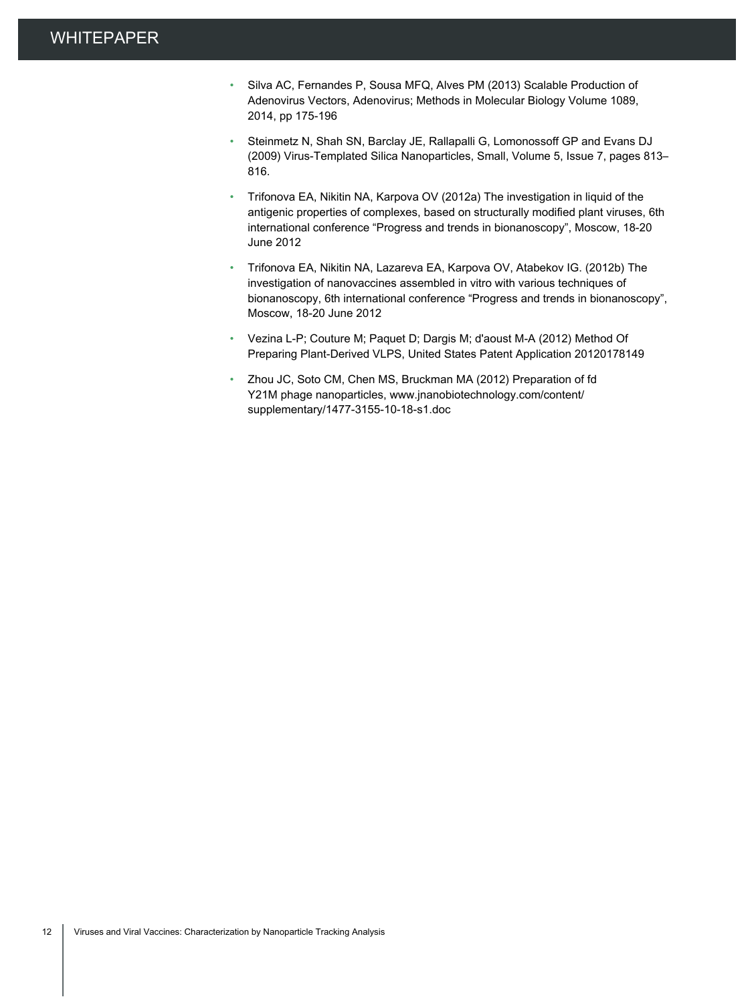- Silva AC, Fernandes P, Sousa MFQ, Alves PM (2013) Scalable Production of Adenovirus Vectors, Adenovirus; Methods in Molecular Biology Volume 1089, 2014, pp 175-196
- Steinmetz N, Shah SN, Barclay JE, Rallapalli G, Lomonossoff GP and Evans DJ (2009) Virus-Templated Silica Nanoparticles, Small, Volume 5, Issue 7, pages 813– 816.
- Trifonova EA, Nikitin NA, Karpova OV (2012a) The investigation in liquid of the antigenic properties of complexes, based on structurally modified plant viruses, 6th international conference "Progress and trends in bionanoscopy", Moscow, 18-20 June 2012
- Trifonova EA, Nikitin NA, Lazareva EA, Karpova OV, Atabekov IG. (2012b) The investigation of nanovaccines assembled in vitro with various techniques of bionanoscopy, 6th international conference "Progress and trends in bionanoscopy", Moscow, 18-20 June 2012
- Vezina L-P; Couture M; Paquet D; Dargis M; d'aoust M-A (2012) Method Of Preparing Plant-Derived VLPS, United States Patent Application 20120178149
- Zhou JC, Soto CM, Chen MS, Bruckman MA (2012) Preparation of fd Y21M phage nanoparticles, www.jnanobiotechnology.com/content/ supplementary/1477-3155-10-18-s1.doc